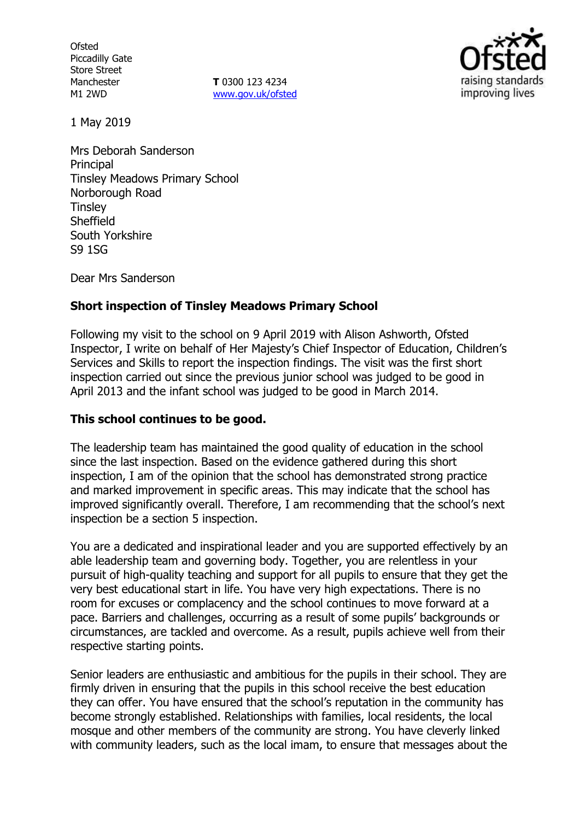**Ofsted** Piccadilly Gate Store Street Manchester M1 2WD

**T** 0300 123 4234 www.gov.uk/ofsted



1 May 2019

Mrs Deborah Sanderson **Principal** Tinsley Meadows Primary School Norborough Road **Tinsley Sheffield** South Yorkshire S9 1SG

Dear Mrs Sanderson

## **Short inspection of Tinsley Meadows Primary School**

Following my visit to the school on 9 April 2019 with Alison Ashworth, Ofsted Inspector, I write on behalf of Her Majesty's Chief Inspector of Education, Children's Services and Skills to report the inspection findings. The visit was the first short inspection carried out since the previous junior school was judged to be good in April 2013 and the infant school was judged to be good in March 2014.

### **This school continues to be good.**

The leadership team has maintained the good quality of education in the school since the last inspection. Based on the evidence gathered during this short inspection, I am of the opinion that the school has demonstrated strong practice and marked improvement in specific areas. This may indicate that the school has improved significantly overall. Therefore, I am recommending that the school's next inspection be a section 5 inspection.

You are a dedicated and inspirational leader and you are supported effectively by an able leadership team and governing body. Together, you are relentless in your pursuit of high-quality teaching and support for all pupils to ensure that they get the very best educational start in life. You have very high expectations. There is no room for excuses or complacency and the school continues to move forward at a pace. Barriers and challenges, occurring as a result of some pupils' backgrounds or circumstances, are tackled and overcome. As a result, pupils achieve well from their respective starting points.

Senior leaders are enthusiastic and ambitious for the pupils in their school. They are firmly driven in ensuring that the pupils in this school receive the best education they can offer. You have ensured that the school's reputation in the community has become strongly established. Relationships with families, local residents, the local mosque and other members of the community are strong. You have cleverly linked with community leaders, such as the local imam, to ensure that messages about the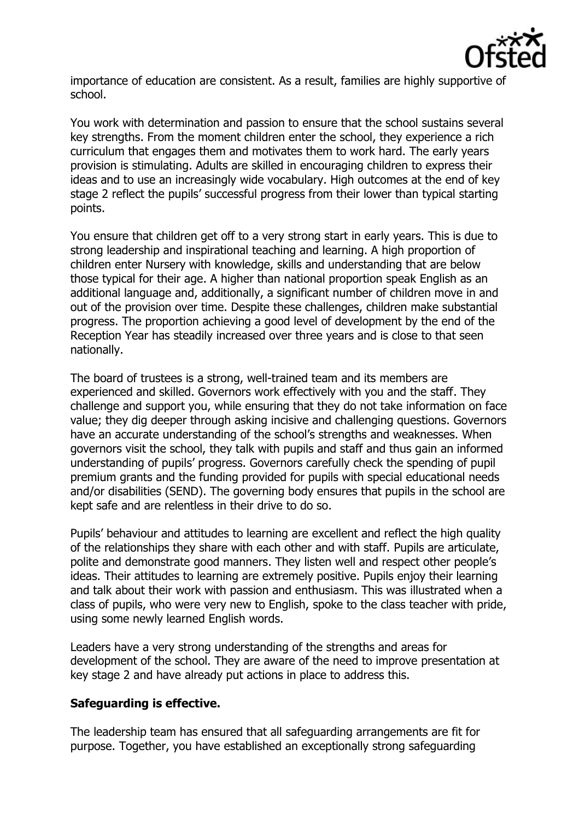

importance of education are consistent. As a result, families are highly supportive of school.

You work with determination and passion to ensure that the school sustains several key strengths. From the moment children enter the school, they experience a rich curriculum that engages them and motivates them to work hard. The early years provision is stimulating. Adults are skilled in encouraging children to express their ideas and to use an increasingly wide vocabulary. High outcomes at the end of key stage 2 reflect the pupils' successful progress from their lower than typical starting points.

You ensure that children get off to a very strong start in early years. This is due to strong leadership and inspirational teaching and learning. A high proportion of children enter Nursery with knowledge, skills and understanding that are below those typical for their age. A higher than national proportion speak English as an additional language and, additionally, a significant number of children move in and out of the provision over time. Despite these challenges, children make substantial progress. The proportion achieving a good level of development by the end of the Reception Year has steadily increased over three years and is close to that seen nationally.

The board of trustees is a strong, well-trained team and its members are experienced and skilled. Governors work effectively with you and the staff. They challenge and support you, while ensuring that they do not take information on face value; they dig deeper through asking incisive and challenging questions. Governors have an accurate understanding of the school's strengths and weaknesses. When governors visit the school, they talk with pupils and staff and thus gain an informed understanding of pupils' progress. Governors carefully check the spending of pupil premium grants and the funding provided for pupils with special educational needs and/or disabilities (SEND). The governing body ensures that pupils in the school are kept safe and are relentless in their drive to do so.

Pupils' behaviour and attitudes to learning are excellent and reflect the high quality of the relationships they share with each other and with staff. Pupils are articulate, polite and demonstrate good manners. They listen well and respect other people's ideas. Their attitudes to learning are extremely positive. Pupils enjoy their learning and talk about their work with passion and enthusiasm. This was illustrated when a class of pupils, who were very new to English, spoke to the class teacher with pride, using some newly learned English words.

Leaders have a very strong understanding of the strengths and areas for development of the school. They are aware of the need to improve presentation at key stage 2 and have already put actions in place to address this.

### **Safeguarding is effective.**

The leadership team has ensured that all safeguarding arrangements are fit for purpose. Together, you have established an exceptionally strong safeguarding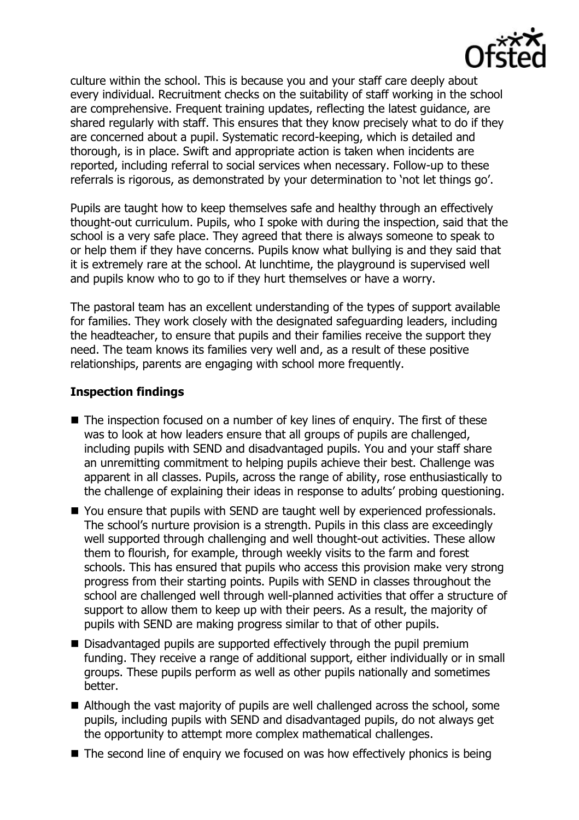

culture within the school. This is because you and your staff care deeply about every individual. Recruitment checks on the suitability of staff working in the school are comprehensive. Frequent training updates, reflecting the latest guidance, are shared regularly with staff. This ensures that they know precisely what to do if they are concerned about a pupil. Systematic record-keeping, which is detailed and thorough, is in place. Swift and appropriate action is taken when incidents are reported, including referral to social services when necessary. Follow-up to these referrals is rigorous, as demonstrated by your determination to 'not let things go'.

Pupils are taught how to keep themselves safe and healthy through an effectively thought-out curriculum. Pupils, who I spoke with during the inspection, said that the school is a very safe place. They agreed that there is always someone to speak to or help them if they have concerns. Pupils know what bullying is and they said that it is extremely rare at the school. At lunchtime, the playground is supervised well and pupils know who to go to if they hurt themselves or have a worry.

The pastoral team has an excellent understanding of the types of support available for families. They work closely with the designated safeguarding leaders, including the headteacher, to ensure that pupils and their families receive the support they need. The team knows its families very well and, as a result of these positive relationships, parents are engaging with school more frequently.

## **Inspection findings**

- The inspection focused on a number of key lines of enquiry. The first of these was to look at how leaders ensure that all groups of pupils are challenged, including pupils with SEND and disadvantaged pupils. You and your staff share an unremitting commitment to helping pupils achieve their best. Challenge was apparent in all classes. Pupils, across the range of ability, rose enthusiastically to the challenge of explaining their ideas in response to adults' probing questioning.
- You ensure that pupils with SEND are taught well by experienced professionals. The school's nurture provision is a strength. Pupils in this class are exceedingly well supported through challenging and well thought-out activities. These allow them to flourish, for example, through weekly visits to the farm and forest schools. This has ensured that pupils who access this provision make very strong progress from their starting points. Pupils with SEND in classes throughout the school are challenged well through well-planned activities that offer a structure of support to allow them to keep up with their peers. As a result, the majority of pupils with SEND are making progress similar to that of other pupils.
- Disadvantaged pupils are supported effectively through the pupil premium funding. They receive a range of additional support, either individually or in small groups. These pupils perform as well as other pupils nationally and sometimes better.
- Although the vast majority of pupils are well challenged across the school, some pupils, including pupils with SEND and disadvantaged pupils, do not always get the opportunity to attempt more complex mathematical challenges.
- $\blacksquare$  The second line of enquiry we focused on was how effectively phonics is being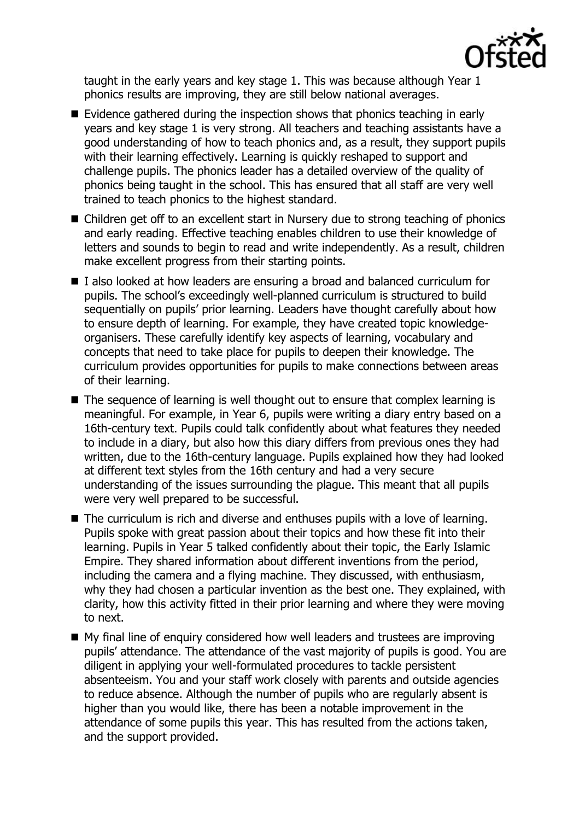

taught in the early years and key stage 1. This was because although Year 1 phonics results are improving, they are still below national averages.

- Evidence gathered during the inspection shows that phonics teaching in early years and key stage 1 is very strong. All teachers and teaching assistants have a good understanding of how to teach phonics and, as a result, they support pupils with their learning effectively. Learning is quickly reshaped to support and challenge pupils. The phonics leader has a detailed overview of the quality of phonics being taught in the school. This has ensured that all staff are very well trained to teach phonics to the highest standard.
- Children get off to an excellent start in Nursery due to strong teaching of phonics and early reading. Effective teaching enables children to use their knowledge of letters and sounds to begin to read and write independently. As a result, children make excellent progress from their starting points.
- I also looked at how leaders are ensuring a broad and balanced curriculum for pupils. The school's exceedingly well-planned curriculum is structured to build sequentially on pupils' prior learning. Leaders have thought carefully about how to ensure depth of learning. For example, they have created topic knowledgeorganisers. These carefully identify key aspects of learning, vocabulary and concepts that need to take place for pupils to deepen their knowledge. The curriculum provides opportunities for pupils to make connections between areas of their learning.
- $\blacksquare$  The sequence of learning is well thought out to ensure that complex learning is meaningful. For example, in Year 6, pupils were writing a diary entry based on a 16th-century text. Pupils could talk confidently about what features they needed to include in a diary, but also how this diary differs from previous ones they had written, due to the 16th-century language. Pupils explained how they had looked at different text styles from the 16th century and had a very secure understanding of the issues surrounding the plague. This meant that all pupils were very well prepared to be successful.
- The curriculum is rich and diverse and enthuses pupils with a love of learning. Pupils spoke with great passion about their topics and how these fit into their learning. Pupils in Year 5 talked confidently about their topic, the Early Islamic Empire. They shared information about different inventions from the period, including the camera and a flying machine. They discussed, with enthusiasm, why they had chosen a particular invention as the best one. They explained, with clarity, how this activity fitted in their prior learning and where they were moving to next.
- My final line of enquiry considered how well leaders and trustees are improving pupils' attendance. The attendance of the vast majority of pupils is good. You are diligent in applying your well-formulated procedures to tackle persistent absenteeism. You and your staff work closely with parents and outside agencies to reduce absence. Although the number of pupils who are regularly absent is higher than you would like, there has been a notable improvement in the attendance of some pupils this year. This has resulted from the actions taken, and the support provided.